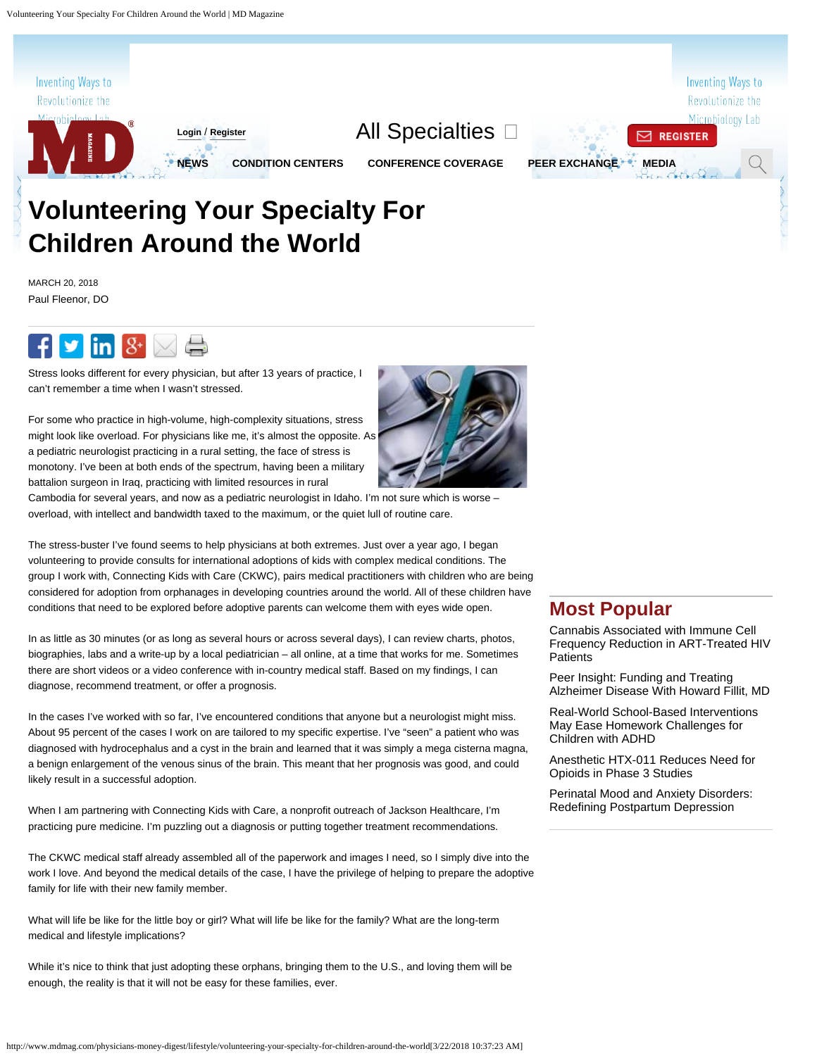

# **Children Around the World**

MARCH 20, 2018 Paul Fleenor, DO



Stress looks different for every physician, but after 13 years of practice, I can't remember a time when I wasn't stressed.

For some who practice in high-volume, high-complexity situations, stress might look like overload. For physicians like me, it's almost the opposite. As a pediatric neurologist practicing in a rural setting, the face of stress is monotony. I've been at both ends of the spectrum, having been a military battalion surgeon in Iraq, practicing with limited resources in rural

Cambodia for several years, and now as a pediatric neurologist in Idaho. I'm not sure which is worse – overload, with intellect and bandwidth taxed to the maximum, or the quiet lull of routine care.

The stress-buster I've found seems to help physicians at both extremes. Just over a year ago, I began volunteering to provide consults for international adoptions of kids with complex medical conditions. The group I work with, Connecting Kids with Care (CKWC), pairs medical practitioners with children who are being considered for adoption from orphanages in developing countries around the world. All of these children have conditions that need to be explored before adoptive parents can welcome them with eyes wide open.

In as little as 30 minutes (or as long as several hours or across several days), I can review charts, photos, biographies, labs and a write-up by a local pediatrician – all online, at a time that works for me. Sometimes there are short videos or a video conference with in-country medical staff. Based on my findings, I can diagnose, recommend treatment, or offer a prognosis.

In the cases I've worked with so far, I've encountered conditions that anyone but a neurologist might miss. About 95 percent of the cases I work on are tailored to my specific expertise. I've "seen" a patient who was diagnosed with hydrocephalus and a cyst in the brain and learned that it was simply a mega cisterna magna, a benign enlargement of the venous sinus of the brain. This meant that her prognosis was good, and could likely result in a successful adoption.

When I am partnering with Connecting Kids with Care, a nonprofit outreach of Jackson Healthcare, I'm practicing pure medicine. I'm puzzling out a diagnosis or putting together treatment recommendations.

The CKWC medical staff already assembled all of the paperwork and images I need, so I simply dive into the work I love. And beyond the medical details of the case, I have the privilege of helping to prepare the adoptive family for life with their new family member.

What will life be like for the little boy or girl? What will life be like for the family? What are the long-term medical and lifestyle implications?

While it's nice to think that just adopting these orphans, bringing them to the U.S., and loving them will be enough, the reality is that it will not be easy for these families, ever.



[Cannabis Associated with Immune Cell](http://www.mdmag.com/medical-news/cannabis-associated-with-immune-cell-frequency-reduction-in-arttreated-hiv-patients) [Frequency Reduction in ART-Treated HIV](http://www.mdmag.com/medical-news/cannabis-associated-with-immune-cell-frequency-reduction-in-arttreated-hiv-patients) **[Patients](http://www.mdmag.com/medical-news/cannabis-associated-with-immune-cell-frequency-reduction-in-arttreated-hiv-patients)** 

[Peer Insight: Funding and Treating](http://www.mdmag.com/journals/md-magazine-neurology/2018/March-2018/peer-insight-funding-and-treating-alzheimer-disease-with-howard-fillit-md) [Alzheimer Disease With Howard Fillit, MD](http://www.mdmag.com/journals/md-magazine-neurology/2018/March-2018/peer-insight-funding-and-treating-alzheimer-disease-with-howard-fillit-md)

[Real-World School-Based Interventions](http://www.mdmag.com/medical-news/realworld-schoolbased-interventions-may-ease-homework-challenges-for-children-with-adhd) [May Ease Homework Challenges for](http://www.mdmag.com/medical-news/realworld-schoolbased-interventions-may-ease-homework-challenges-for-children-with-adhd) [Children with ADHD](http://www.mdmag.com/medical-news/realworld-schoolbased-interventions-may-ease-homework-challenges-for-children-with-adhd)

[Anesthetic HTX-011 Reduces Need for](http://www.mdmag.com/medical-news/anesthetic-htx011-reduces-need-for-opioids-in-phase-3-studies) [Opioids in Phase 3 Studies](http://www.mdmag.com/medical-news/anesthetic-htx011-reduces-need-for-opioids-in-phase-3-studies)

[Perinatal Mood and Anxiety Disorders:](http://www.mdmag.com/journals/md-magazine-neurology/2018/March-2018/perinatal-mood-and-anxiety-disorders-redefining-postpartum-depression) [Redefining Postpartum Depression](http://www.mdmag.com/journals/md-magazine-neurology/2018/March-2018/perinatal-mood-and-anxiety-disorders-redefining-postpartum-depression)